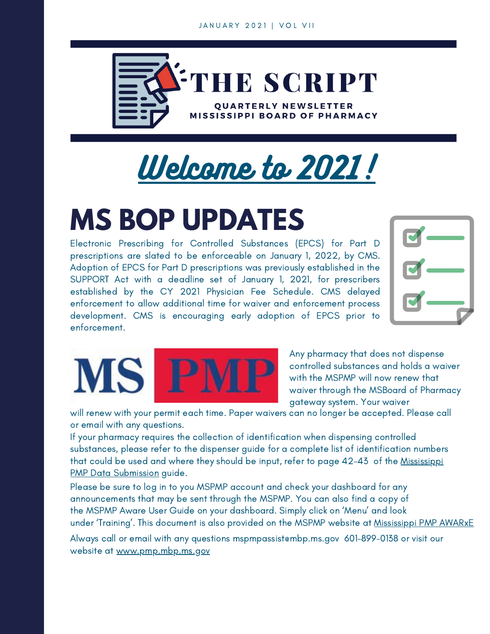

# Welcome to 2021!

## **MS BOP UPDATES**

Electronic Prescribing for Controlled Substances (EPCS) for Part D prescriptions are slated to be enforceable on January 1, 2022, by CMS. Adoption of EPCS for Part D prescriptions was previously established in the SUPPORT Act with a deadline set of January 1, 2021, for prescribers established by the CY 2021 Physician Fee Schedule. CMS delayed enforcement to allow additional time for waiver and enforcement process development. CMS is encouraging early adoption of EPCS prior to enforcement.





Any pharmacy that does not dispense controlled substances and holds a waiver with the MSPMP will now renew that waiver through the MSBoard of Pharmacy gateway system. Your waiver

will renew with your permit each time. Paper waivers can no longer be accepted. Please call or email with any questions.

If your pharmacy requires the collection of identification when dispensing controlled substances, please refer to the dispenser guide for a complete list of identification numbers that could be used and where they should be input, refer to page 42-43 of the Mississippi PMP Data [Submission](https://pmp.mbp.ms.gov/wp-content/uploads/2019/10/Mississippi-PMP-AWARxE-User-Support-Manual_v2.0.pdf) guide.

Please be sure to log in to you MSPMP account and check your dashboard for any announcements that may be sent through the MSPMP. You can also find a copy of the MSPMP Aware User Guide on your dashboard. Simply click on 'Menu' and look under 'Training'. This document is also provided on the MSPMP website at [Mississippi](https://pmp.mbp.ms.gov/wp-content/uploads/2019/10/Mississippi-PMP-AWARxE-User-Support-Manual_v2.0.pdf) PMP AWARxE

Always call or email with any questions mspmpassistembp.ms.gov 601-899-0138 or visit our website at [www.pmp.mbp.ms.gov](https://pmp.mbp.ms.gov/)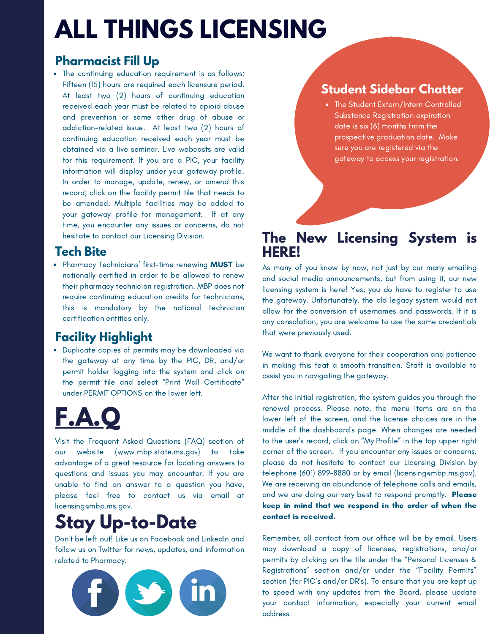## **ALL THINGS LICENSING**

### **Pharmacist Fill Up**

• The continuing education requirement is as follows: Fifteen (15) hours are required each licensure period. At least two (2) hours of continuing education received each year must be related to opioid abuse and prevention or some other drug of abuse or addiction-related issue. At least two (2) hours of continuing education received each year must be obtained via a live seminar. Live webcasts are valid for this requirement. If you are a PIC, your facility information will display under your gateway profile. In order to manage, update, renew, or amend this record; click on the facility permit tile that needs to be amended. Multiple facilities may be added to your gateway profile for management. If at any time, you encounter any issues or concerns, do not hesitate to contact our Licensing Division.

### **Tech Bite**

• Pharmacy Technicians' first-time renewing **MUST** be nationally certified in order to be allowed to renew their pharmacy technician registration. MBP does not require continuing education credits for technicians, this is mandatory by the national technician certification entities only.

### **Facility Highlight**

Duplicate copies of permits may be downloaded via the gateway at any time by the PIC, DR, and/or permit holder logging into the system and click on the permit tile and select "Print Wall Certificate" under PERMIT OPTIONS on the lower left.

## **F.A.Q**

Visit the Frequent Asked Questions (FAQ) section of our website (www.mbp.state.ms.gov) to take advantage of a great resource for locating answers to questions and issues you may encounter. If you are unable to find an answer to a question you have, please feel free to contact us via email at licensing@mbp.ms.gov.

### **Stay Up-to-Date**

Don't be left out! Like us on Facebook and LinkedIn and follow us on Twitter for news, updates, and information related to Pharmacy.



### **Student Sidebar Chatter**

The Student Extern/Intern Controlled Substance Registration expiration date is six (6) months from the prospective graduation date. Make sure you are registered via the gateway to access your registration.

### **The New Licensing System is HERE!**

As many of you know by now, not just by our many emailing and social media announcements, but from using it, our new licensing system is here! Yes, you do have to register to use the gateway. Unfortunately, the old legacy system would not allow for the conversion of usernames and passwords. If it is any consolation, you are welcome to use the same credentials that were previously used.

We want to thank everyone for their cooperation and patience in making this feat a smooth transition. Staff is available to assist you in navigating the gateway.

After the initial registration, the system guides you through the renewal process. Please note, the menu items are on the lower left of the screen, and the license choices are in the middle of the dashboard's page. When changes are needed to the user's record, click on "My Profile" in the top upper right corner of the screen. If you encounter any issues or concerns, please do not hesitate to contact our Licensing Division by telephone (601) 899-8880 or by email (licensing@mbp.ms.gov). We are receiving an abundance of telephone calls and emails, and we are doing our very best to respond promptly. Please keep in mind that we respond in the order of when the contact is received.

Remember, all contact from our office will be by email. Users may download a copy of licenses, registrations, and/or permits by clicking on the tile under the "Personal Licenses & Registrations" section and/or under the "Facility Permits" section (for PIC's and/or DR's). To ensure that you are kept up to speed with any updates from the Board, please update your contact information, especially your current email address.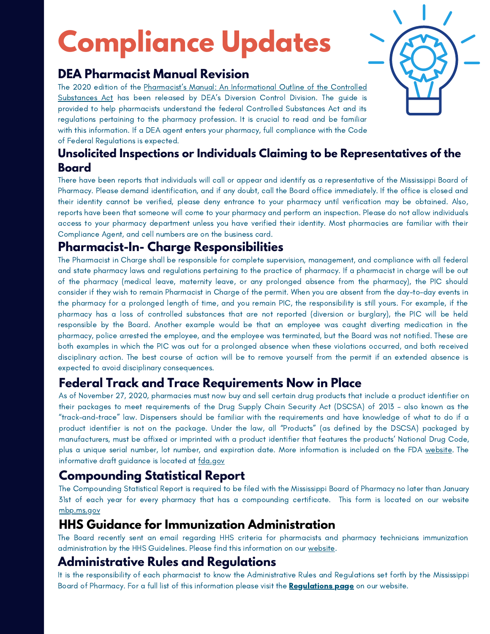# **Compliance Updates**

### **DEA Pharmacist Manual Revision**

The 2020 edition of the Pharmacist's Manual: An [Informational](https://www.deadiversion.usdoj.gov/GDP/(DEA-DC-046)(EO-DEA154)_Pharmacist_Manual.pdf) Outline of the Controlled Substances Act has been released by DEA's Diversion Control Division. The guide is provided to help pharmacists understand the federal Controlled Substances Act and its regulations pertaining to the pharmacy profession. It is crucial to read and be familiar with this information. If a DEA agent enters your pharmacy, full compliance with the Code of Federal Regulations is expected.



#### **Unsolicited Inspections or Individuals Claiming to be Representatives of the Board**

There have been reports that individuals will call or appear and identify as a representative of the Mississippi Board of Pharmacy. Please demand identification, and if any doubt, call the Board office immediately. If the office is closed and their identity cannot be verified, please deny entrance to your pharmacy until verification may be obtained. Also, reports have been that someone will come to your pharmacy and perform an inspection. Please do not allow individuals access to your pharmacy department unless you have verified their identity. Most pharmacies are familiar with their Compliance Agent, and cell numbers are on the business card.

### **Pharmacist-In- Charge Responsibilities**

The Pharmacist in Charge shall be responsible for complete supervision, management, and compliance with all federal and state pharmacy laws and regulations pertaining to the practice of pharmacy. If a pharmacist in charge will be out of the pharmacy (medical leave, maternity leave, or any prolonged absence from the pharmacy), the PIC should consider if they wish to remain Pharmacist in Charge of the permit. When you are absent from the day-to-day events in the pharmacy for a prolonged length of time, and you remain PIC, the responsibility is still yours. For example, if the pharmacy has a loss of controlled substances that are not reported (diversion or burglary), the PIC will be held responsible by the Board. Another example would be that an employee was caught diverting medication in the pharmacy, police arrested the employee, and the employee was terminated, but the Board was not notified. These are both examples in which the PIC was out for a prolonged absence when these violations occurred, and both received disciplinary action. The best course of action will be to remove yourself from the permit if an extended absence is expected to avoid disciplinary consequences.

### **Federal Track and Trace Requirements Now in Place**

As of November 27, 2020, pharmacies must now buy and sell certain drug products that include a product identifier on their packages to meet requirements of the Drug Supply Chain Security Act (DSCSA) of 2013 – also known as the "track-and-trace" law. Dispensers should be familiar with the requirements and have knowledge of what to do if a product identifier is not on the package. Under the law, all "Products" (as defined by the DSCSA) packaged by manufacturers, must be affixed or imprinted with a product identifier that features the products' National Drug Code, plus a unique serial number, lot number, and expiration date. More information is included on the FDA [website](https://www.fda.gov/). The informative draft guidance is located at [fda.gov](https://www.fda.gov/regulatory-information/search-fda-guidance-documents/standardization-data-and-documentation-practices-product-tracing-guidance-industry)

### **Compounding Statistical Report**

The Compounding Statistical Report is required to be filed with the Mississippi Board of Pharmacy no later than January 31st of each year for every pharmacy that has a compounding certificate. This form is located on our website [mbp.ms.gov](https://www.mbp.ms.gov/Pages/ComplianceHome.aspx)

### **HHS Guidance for Immunization Administration**

The Board recently sent an email regarding HHS criteria for pharmacists and pharmacy technicians immunization administration by the HHS Guidelines. Please find this information on our [website.](https://www.mbp.ms.gov/Pages/Administering-Vaccinations-by-HHS-Guidance.aspx)

### **Administrative Rules and Regulations**

It is the responsibility of each pharmacist to know the Administrative Rules and Regulations set forth by the Mississippi Board of Pharmacy. For a full list of this information please visit the **[Regulations](https://www.mbp.ms.gov/Pages/Regulations.aspx) page** on our website.